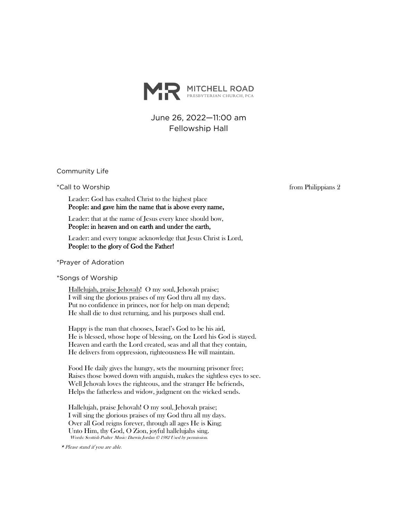

June 26, 2022—11:00 am Fellowship Hall

Community Life

\*Call to Worship from Philippians 2

Leader: God has exalted Christ to the highest place People: and gave him the name that is above every name,

Leader: that at the name of Jesus every knee should bow, People: in heaven and on earth and under the earth,

Leader: and every tongue acknowledge that Jesus Christ is Lord, People: to the glory of God the Father!

\*Prayer of Adoration

\*Songs of Worship

Hallelujah, praise Jehovah! O my soul, Jehovah praise; I will sing the glorious praises of my God thru all my days. Put no confidence in princes, nor for help on man depend; He shall die to dust returning, and his purposes shall end.

Happy is the man that chooses, Israel's God to be his aid, He is blessed, whose hope of blessing, on the Lord his God is stayed. Heaven and earth the Lord created, seas and all that they contain, He delivers from oppression, righteousness He will maintain.

Food He daily gives the hungry, sets the mourning prisoner free; Raises those bowed down with anguish, makes the sightless eyes to see. Well Jehovah loves the righteous, and the stranger He befriends, Helps the fatherless and widow, judgment on the wicked sends.

Hallelujah, praise Jehovah! O my soul, Jehovah praise; I will sing the glorious praises of my God thru all my days. Over all God reigns forever, through all ages He is King; Unto Him, thy God, O Zion, joyful hallelujahs sing. Words: Scottish Psalter Music: Darwin Jordan © 1982 Used by permission.

\* Please stand if you are able.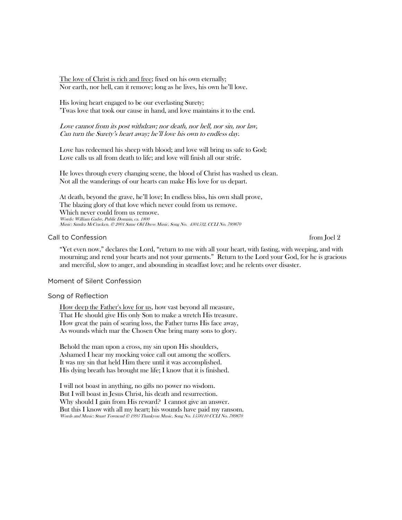The love of Christ is rich and free; fixed on his own eternally; Nor earth, nor hell, can it remove; long as he lives, his own he'll love.

His loving heart engaged to be our everlasting Surety; 'Twas love that took our cause in hand, and love maintains it to the end.

Love cannot from its post withdraw; nor death, nor hell, nor sin, nor law, Can turn the Surety's heart away; he'll love his own to endless day.

Love has redeemed his sheep with blood; and love will bring us safe to God; Love calls us all from death to life; and love will finish all our strife.

He loves through every changing scene, the blood of Christ has washed us clean. Not all the wanderings of our hearts can make His love for us depart.

At death, beyond the grave, he'll love; In endless bliss, his own shall prove, The blazing glory of that love which never could from us remove. Which never could from us remove. Words: William Gadsy, Public Domain, ca. 1800 Music: Sandra McCracken. © 2001 Same Old Dress Music, Song No. 4301532, CCLI No. 789870

#### Call to Confession from Joel 2

"Yet even now," declares the Lord, "return to me with all your heart, with fasting, with weeping, and with mourning; and rend your hearts and not your garments." Return to the Lord your God, for he is gracious and merciful, slow to anger, and abounding in steadfast love; and he relents over disaster.

#### Moment of Silent Confession

#### Song of Reflection

How deep the Father's love for us, how vast beyond all measure, That He should give His only Son to make a wretch His treasure. How great the pain of searing loss, the Father turns His face away, As wounds which mar the Chosen One bring many sons to glory.

Behold the man upon a cross, my sin upon His shoulders, Ashamed I hear my mocking voice call out among the scoffers. It was my sin that held Him there until it was accomplished. His dying breath has brought me life; I know that it is finished.

I will not boast in anything, no gifts no power no wisdom. But I will boast in Jesus Christ, his death and resurrection. Why should I gain from His reward? I cannot give an answer. But this I know with all my heart; his wounds have paid my ransom. Words and Music: Stuart Townend © 1995 Thankyou Music, Song No. 1558110 CCLI No. 789870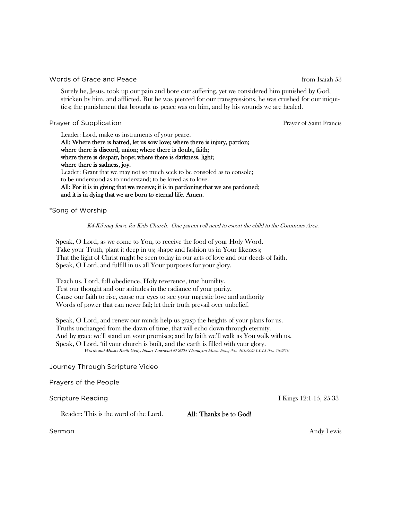## Words of Grace and Peace from Isaiah 53

Surely he, Jesus, took up our pain and bore our suffering, yet we considered him punished by God, stricken by him, and afflicted. But he was pierced for our transgressions, he was crushed for our iniquities; the punishment that brought us peace was on him, and by his wounds we are healed.

# Prayer of Supplication **Prayer of Saint Francis**

Leader: Lord, make us instruments of your peace. All: Where there is hatred, let us sow love; where there is injury, pardon; where there is discord, union; where there is doubt, faith; where there is despair, hope; where there is darkness, light; where there is sadness, joy. Leader: Grant that we may not so much seek to be consoled as to console; to be understood as to understand; to be loved as to love. All: For it is in giving that we receive; it is in pardoning that we are pardoned; and it is in dying that we are born to eternal life. Amen.

\*Song of Worship

K4-K5 may leave for Kids Church. One parent will need to escort the child to the Commons Area.

Speak, O Lord, as we come to You, to receive the food of your Holy Word. Take your Truth, plant it deep in us; shape and fashion us in Your likeness; That the light of Christ might be seen today in our acts of love and our deeds of faith. Speak, O Lord, and fulfill in us all Your purposes for your glory.

Teach us, Lord, full obedience, Holy reverence, true humility. Test our thought and our attitudes in the radiance of your purity. Cause our faith to rise, cause our eyes to see your majestic love and authority Words of power that can never fail; let their truth prevail over unbelief.

Speak, O Lord, and renew our minds help us grasp the heights of your plans for us. Truths unchanged from the dawn of time, that will echo down through eternity. And by grace we'll stand on your promises; and by faith we'll walk as You walk with us. Speak, O Lord, 'til your church is built, and the earth is filled with your glory.Words and Music: Keith Getty, Stuart Townend © 2005 Thankyou Music Song No. 4615235 CCLI No. 789870

Journey Through Scripture Video

Prayers of the People

Scripture Reading **I Kings 12:1-15, 25-33** 

Reader: This is the word of the Lord. All: Thanks be to God!

Sermon Andy Lewis